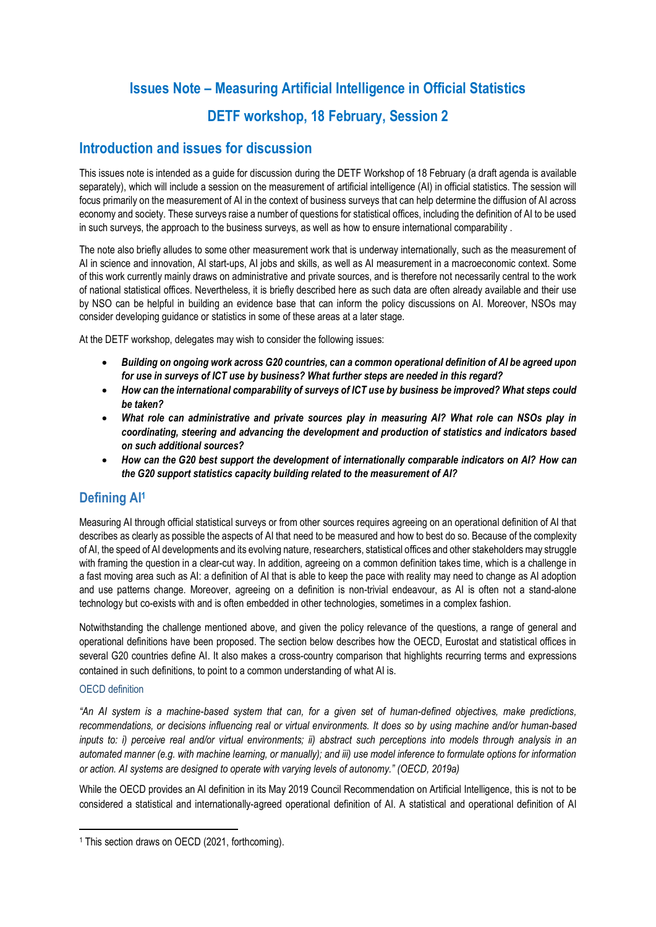# **Issues Note – Measuring Artificial Intelligence in Official Statistics DETF workshop, 18 February, Session 2**

# **Introduction and issues for discussion**

This issues note is intended as a guide for discussion during the DETF Workshop of 18 February (a draft agenda is available separately), which will include a session on the measurement of artificial intelligence (AI) in official statistics. The session will focus primarily on the measurement of AI in the context of business surveys that can help determine the diffusion of AI across economy and society. These surveys raise a number of questions for statistical offices, including the definition of AI to be used in such surveys, the approach to the business surveys, as well as how to ensure international comparability .

The note also briefly alludes to some other measurement work that is underway internationally, such as the measurement of AI in science and innovation, AI start-ups, AI jobs and skills, as well as AI measurement in a macroeconomic context. Some of this work currently mainly draws on administrative and private sources, and is therefore not necessarily central to the work of national statistical offices. Nevertheless, it is briefly described here as such data are often already available and their use by NSO can be helpful in building an evidence base that can inform the policy discussions on AI. Moreover, NSOs may consider developing guidance or statistics in some of these areas at a later stage.

At the DETF workshop, delegates may wish to consider the following issues:

- *Building on ongoing work across G20 countries, can a common operational definition of AI be agreed upon for use in surveys of ICT use by business? What further steps are needed in this regard?*
- *How can the international comparability of surveys of ICT use by business be improved? What steps could be taken?*
- *What role can administrative and private sources play in measuring AI? What role can NSOs play in coordinating, steering and advancing the development and production of statistics and indicators based on such additional sources?*
- *How can the G20 best support the development of internationally comparable indicators on AI? How can the G20 support statistics capacity building related to the measurement of AI?*

# **Defining AI<sup>1</sup>**

Measuring AI through official statistical surveys or from other sources requires agreeing on an operational definition of AI that describes as clearly as possible the aspects of AI that need to be measured and how to best do so. Because of the complexity of AI, the speed of AI developments and its evolving nature, researchers, statistical offices and other stakeholders may struggle with framing the question in a clear-cut way. In addition, agreeing on a common definition takes time, which is a challenge in a fast moving area such as AI: a definition of AI that is able to keep the pace with reality may need to change as AI adoption and use patterns change. Moreover, agreeing on a definition is non-trivial endeavour, as AI is often not a stand-alone technology but co-exists with and is often embedded in other technologies, sometimes in a complex fashion.

Notwithstanding the challenge mentioned above, and given the policy relevance of the questions, a range of general and operational definitions have been proposed. The section below describes how the OECD, Eurostat and statistical offices in several G20 countries define AI. It also makes a cross-country comparison that highlights recurring terms and expressions contained in such definitions, to point to a common understanding of what AI is.

#### OECD definition

*"An AI system is a machine-based system that can, for a given set of human-defined objectives, make predictions, recommendations, or decisions influencing real or virtual environments. It does so by using machine and/or human-based inputs to: i) perceive real and/or virtual environments; ii) abstract such perceptions into models through analysis in an automated manner (e.g. with machine learning, or manually); and iii) use model inference to formulate options for information or action. AI systems are designed to operate with varying levels of autonomy." (OECD, 2019a)*

While the OECD provides an AI definition in its May 2019 Council Recommendation on Artificial Intelligence, this is not to be considered a statistical and internationally-agreed operational definition of AI. A statistical and operational definition of AI

<sup>1</sup> This section draws on OECD (2021, forthcoming).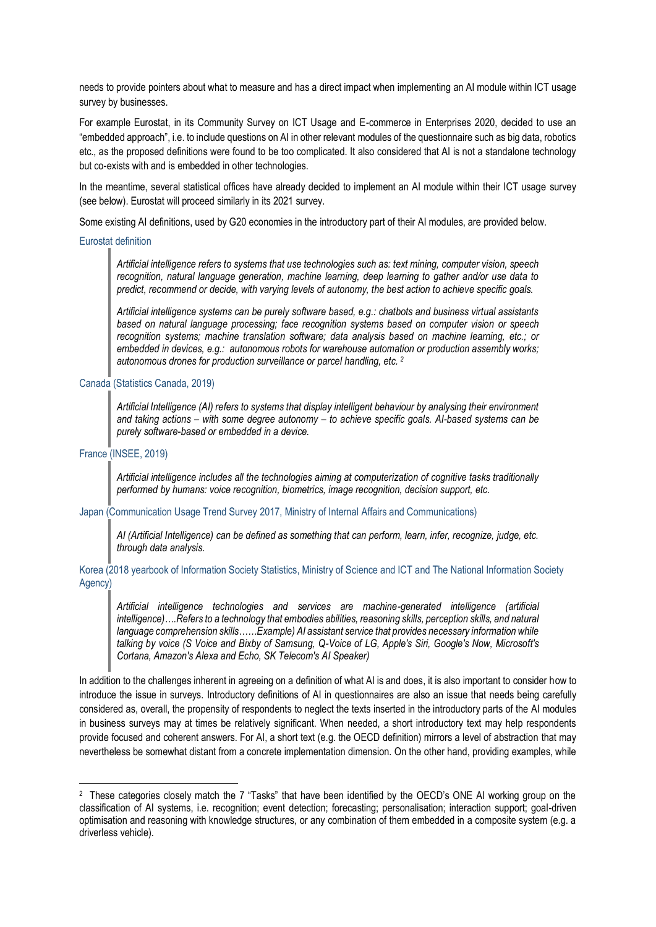needs to provide pointers about what to measure and has a direct impact when implementing an AI module within ICT usage survey by businesses.

For example Eurostat, in its Community Survey on ICT Usage and E-commerce in Enterprises 2020, decided to use an "embedded approach", i.e. to include questions on AI in other relevant modules of the questionnaire such as big data, robotics etc., as the proposed definitions were found to be too complicated. It also considered that AI is not a standalone technology but co-exists with and is embedded in other technologies.

In the meantime, several statistical offices have already decided to implement an AI module within their ICT usage survey (see below). Eurostat will proceed similarly in its 2021 survey.

Some existing AI definitions, used by G20 economies in the introductory part of their AI modules, are provided below.

#### Eurostat definition

*Artificial intelligence refers to systems that use technologies such as: text mining, computer vision, speech recognition, natural language generation, machine learning, deep learning to gather and/or use data to predict, recommend or decide, with varying levels of autonomy, the best action to achieve specific goals.* 

*Artificial intelligence systems can be purely software based, e.g.: chatbots and business virtual assistants based on natural language processing; face recognition systems based on computer vision or speech recognition systems; machine translation software; data analysis based on machine learning, etc.; or embedded in devices, e.g.: autonomous robots for warehouse automation or production assembly works; autonomous drones for production surveillance or parcel handling, etc. <sup>2</sup>*

#### Canada (Statistics Canada, 2019)

*Artificial Intelligence (AI) refers to systems that display intelligent behaviour by analysing their environment and taking actions – with some degree autonomy – to achieve specific goals. AI-based systems can be purely software-based or embedded in a device.*

#### France (INSEE, 2019)

*Artificial intelligence includes all the technologies aiming at computerization of cognitive tasks traditionally performed by humans: voice recognition, biometrics, image recognition, decision support, etc.*

#### Japan (Communication Usage Trend Survey 2017, Ministry of Internal Affairs and Communications)

*AI (Artificial Intelligence) can be defined as something that can perform, learn, infer, recognize, judge, etc. through data analysis.*

Korea (2018 yearbook of Information Society Statistics, Ministry of Science and ICT and The National Information Society Agency)

*Artificial intelligence technologies and services are machine-generated intelligence (artificial intelligence)….Refers to a technology that embodies abilities, reasoning skills, perception skills, and natural language comprehension skills……Example) AI assistant service that provides necessary information while talking by voice (S Voice and Bixby of Samsung, Q-Voice of LG, Apple's Siri, Google's Now, Microsoft's Cortana, Amazon's Alexa and Echo, SK Telecom's AI Speaker)*

In addition to the challenges inherent in agreeing on a definition of what AI is and does, it is also important to consider how to introduce the issue in surveys. Introductory definitions of AI in questionnaires are also an issue that needs being carefully considered as, overall, the propensity of respondents to neglect the texts inserted in the introductory parts of the AI modules in business surveys may at times be relatively significant. When needed, a short introductory text may help respondents provide focused and coherent answers. For AI, a short text (e.g. the OECD definition) mirrors a level of abstraction that may nevertheless be somewhat distant from a concrete implementation dimension. On the other hand, providing examples, while

<sup>2</sup> These categories closely match the 7 "Tasks" that have been identified by the OECD's ONE AI working group on the classification of AI systems, i.e. recognition; event detection; forecasting; personalisation; interaction support; goal-driven optimisation and reasoning with knowledge structures, or any combination of them embedded in a composite system (e.g. a driverless vehicle).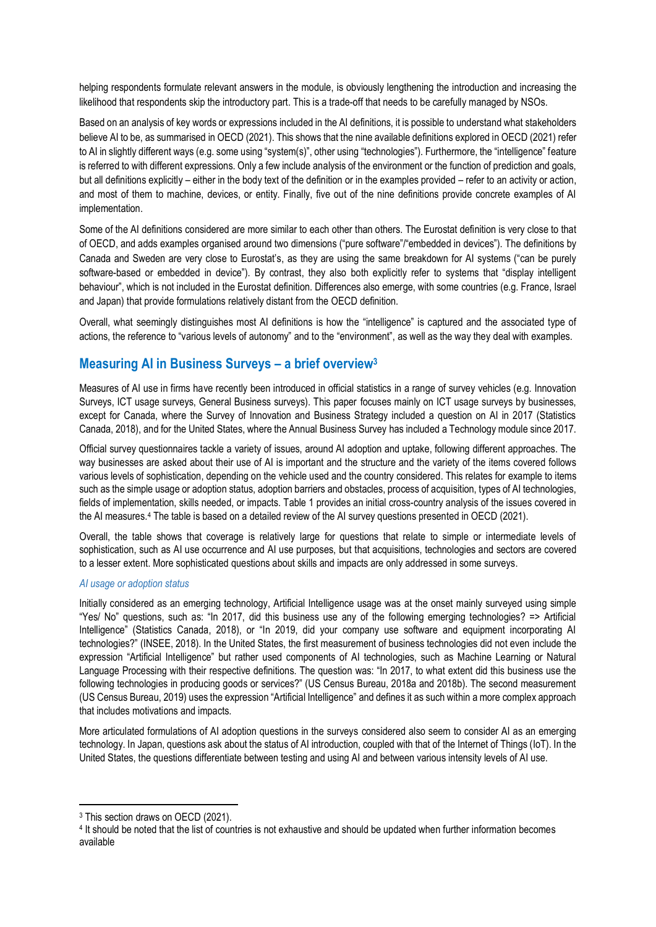helping respondents formulate relevant answers in the module, is obviously lengthening the introduction and increasing the likelihood that respondents skip the introductory part. This is a trade-off that needs to be carefully managed by NSOs.

Based on an analysis of key words or expressions included in the AI definitions, it is possible to understand what stakeholders believe AI to be, as summarised in OECD (2021). This shows that the nine available definitions explored in OECD (2021) refer to AI in slightly different ways (e.g. some using "system(s)", other using "technologies"). Furthermore, the "intelligence" feature is referred to with different expressions. Only a few include analysis of the environment or the function of prediction and goals, but all definitions explicitly – either in the body text of the definition or in the examples provided – refer to an activity or action, and most of them to machine, devices, or entity. Finally, five out of the nine definitions provide concrete examples of AI implementation.

Some of the AI definitions considered are more similar to each other than others. The Eurostat definition is very close to that of OECD, and adds examples organised around two dimensions ("pure software"/"embedded in devices"). The definitions by Canada and Sweden are very close to Eurostat's, as they are using the same breakdown for AI systems ("can be purely software-based or embedded in device"). By contrast, they also both explicitly refer to systems that "display intelligent behaviour", which is not included in the Eurostat definition. Differences also emerge, with some countries (e.g. France, Israel and Japan) that provide formulations relatively distant from the OECD definition.

Overall, what seemingly distinguishes most AI definitions is how the "intelligence" is captured and the associated type of actions, the reference to "various levels of autonomy" and to the "environment", as well as the way they deal with examples.

# **Measuring AI in Business Surveys – a brief overview<sup>3</sup>**

Measures of AI use in firms have recently been introduced in official statistics in a range of survey vehicles (e.g. Innovation Surveys, ICT usage surveys, General Business surveys). This paper focuses mainly on ICT usage surveys by businesses, except for Canada, where the Survey of Innovation and Business Strategy included a question on AI in 2017 (Statistics Canada, 2018), and for the United States, where the Annual Business Survey has included a Technology module since 2017.

Official survey questionnaires tackle a variety of issues, around AI adoption and uptake, following different approaches. The way businesses are asked about their use of AI is important and the structure and the variety of the items covered follows various levels of sophistication, depending on the vehicle used and the country considered. This relates for example to items such as the simple usage or adoption status, adoption barriers and obstacles, process of acquisition, types of AI technologies, fields of implementation, skills needed, or impacts. Table 1 provides an initial cross-country analysis of the issues covered in the AI measures.<sup>4</sup> The table is based on a detailed review of the AI survey questions presented in OECD (2021).

Overall, the table shows that coverage is relatively large for questions that relate to simple or intermediate levels of sophistication, such as AI use occurrence and AI use purposes, but that acquisitions, technologies and sectors are covered to a lesser extent. More sophisticated questions about skills and impacts are only addressed in some surveys.

#### *AI usage or adoption status*

Initially considered as an emerging technology, Artificial Intelligence usage was at the onset mainly surveyed using simple "Yes/ No" questions, such as: "In 2017, did this business use any of the following emerging technologies? => Artificial Intelligence" (Statistics Canada, 2018), or "In 2019, did your company use software and equipment incorporating AI technologies?" (INSEE, 2018). In the United States, the first measurement of business technologies did not even include the expression "Artificial Intelligence" but rather used components of AI technologies, such as Machine Learning or Natural Language Processing with their respective definitions. The question was: "In 2017, to what extent did this business use the following technologies in producing goods or services?" (US Census Bureau, 2018a and 2018b). The second measurement (US Census Bureau, 2019) uses the expression "Artificial Intelligence" and defines it as such within a more complex approach that includes motivations and impacts.

More articulated formulations of AI adoption questions in the surveys considered also seem to consider AI as an emerging technology. In Japan, questions ask about the status of AI introduction, coupled with that of the Internet of Things (IoT). In the United States, the questions differentiate between testing and using AI and between various intensity levels of AI use.

<sup>3</sup> This section draws on OECD (2021).

<sup>4</sup> It should be noted that the list of countries is not exhaustive and should be updated when further information becomes available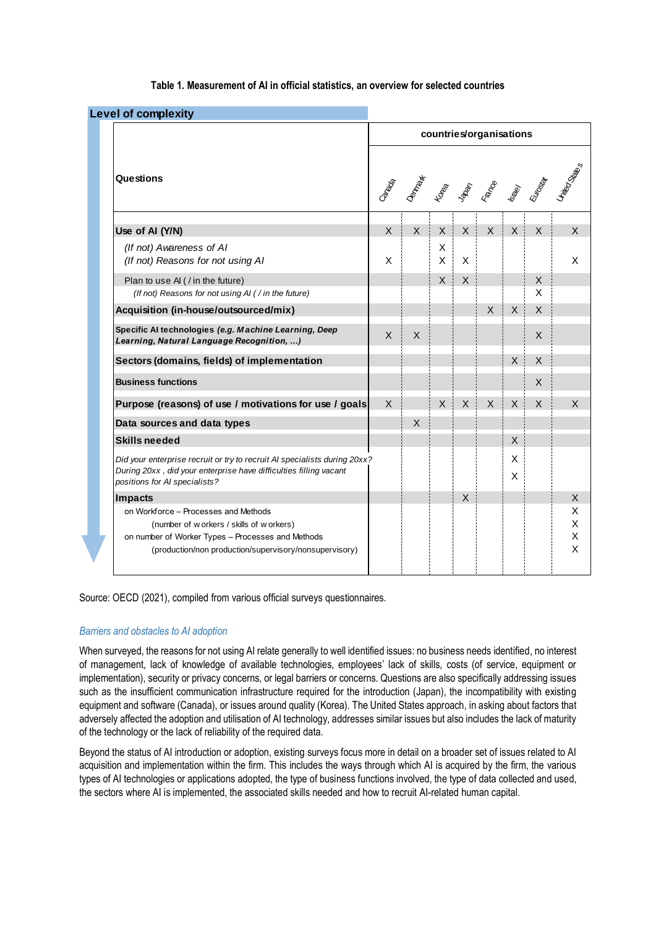| <b>Level of complexity</b>                                                                                                                                                                       |                         |                      |              |              |              |              |                   |  |  |
|--------------------------------------------------------------------------------------------------------------------------------------------------------------------------------------------------|-------------------------|----------------------|--------------|--------------|--------------|--------------|-------------------|--|--|
|                                                                                                                                                                                                  | countries/organisations |                      |              |              |              |              |                   |  |  |
| Questions                                                                                                                                                                                        |                         | <b>SARA SERBASES</b> |              |              |              |              |                   |  |  |
| Use of AI (Y/N)                                                                                                                                                                                  | $\mathsf{X}$            | $\mathsf{X}$         | $\mathsf{X}$ | $\mathsf{X}$ | X            | $\mathsf{X}$ | $\mathsf{X}$      |  |  |
| (If not) Awareness of AI<br>(If not) Reasons for not using AI                                                                                                                                    | X                       |                      | Χ<br>X       | X            |              |              |                   |  |  |
| Plan to use AI (/in the future)<br>(If not) Reasons for not using AI ( / in the future)                                                                                                          |                         |                      | $\mathsf{X}$ | X            |              |              | $\mathsf{X}$<br>X |  |  |
| Acquisition (in-house/outsourced/mix)                                                                                                                                                            |                         |                      |              |              | X            | $\times$     | $\times$          |  |  |
| Specific Al technologies (e.g. Machine Learning, Deep<br>Learning, Natural Language Recognition, )                                                                                               | X                       | X                    |              |              |              |              | X                 |  |  |
| Sectors (domains, fields) of implementation                                                                                                                                                      |                         |                      |              |              |              | X            | $\mathsf{X}$      |  |  |
| <b>Business functions</b>                                                                                                                                                                        |                         |                      |              |              |              |              | X                 |  |  |
| Purpose (reasons) of use / motivations for use / goals                                                                                                                                           | X                       |                      | $\times$     | $\mathsf{X}$ | $\mathsf{X}$ | $\times$     | $\mathsf{X}$      |  |  |
| Data sources and data types                                                                                                                                                                      |                         | $\mathsf{X}$         |              |              |              |              |                   |  |  |
| <b>Skills needed</b>                                                                                                                                                                             |                         |                      |              |              |              | X            |                   |  |  |
| Did your enterprise recruit or try to recruit AI specialists during 20xx?<br>During 20xx, did your enterprise have difficulties filling vacant<br>positions for AI specialists?                  |                         |                      |              |              |              | X<br>X       |                   |  |  |
| Impacts                                                                                                                                                                                          |                         |                      |              | $\mathsf{X}$ |              |              |                   |  |  |
| on Workforce - Processes and Methods<br>(number of w orkers / skills of w orkers)<br>on number of Worker Types - Processes and Methods<br>(production/non production/supervisory/nonsupervisory) |                         |                      |              |              |              |              |                   |  |  |

#### **Table 1. Measurement of AI in official statistics, an overview for selected countries**

Source: OECD (2021), compiled from various official surveys questionnaires.

#### *Barriers and obstacles to AI adoption*

When surveyed, the reasons for not using AI relate generally to well identified issues: no business needs identified, no interest of management, lack of knowledge of available technologies, employees' lack of skills, costs (of service, equipment or implementation), security or privacy concerns, or legal barriers or concerns. Questions are also specifically addressing issues such as the insufficient communication infrastructure required for the introduction (Japan), the incompatibility with existing equipment and software (Canada), or issues around quality (Korea). The United States approach, in asking about factors that adversely affected the adoption and utilisation of AI technology, addresses similar issues but also includes the lack of maturity of the technology or the lack of reliability of the required data.

Beyond the status of AI introduction or adoption, existing surveys focus more in detail on a broader set of issues related to AI acquisition and implementation within the firm. This includes the ways through which AI is acquired by the firm, the various types of AI technologies or applications adopted, the type of business functions involved, the type of data collected and used, the sectors where AI is implemented, the associated skills needed and how to recruit AI-related human capital.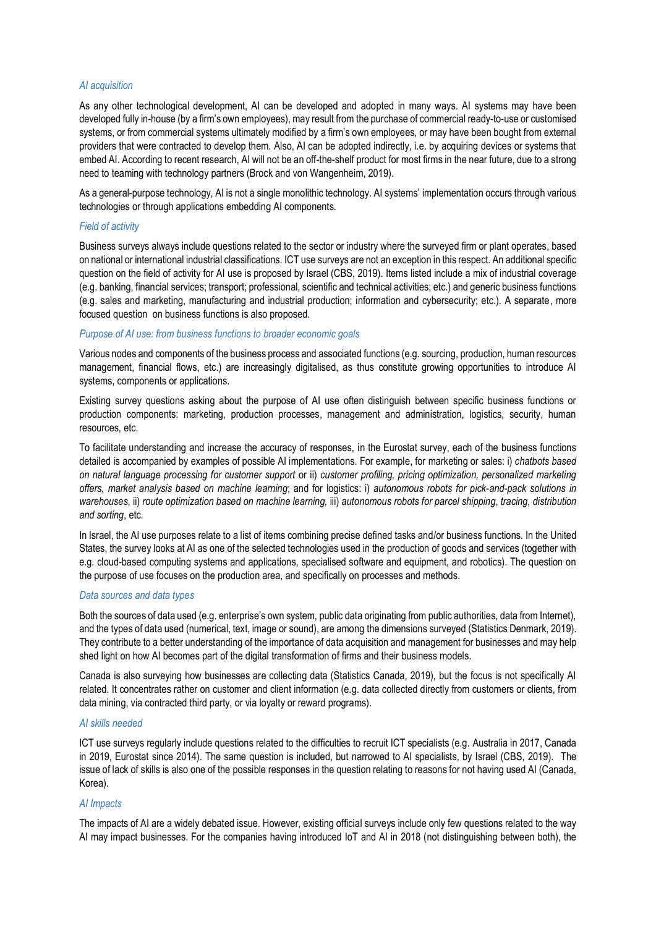#### *AI acquisition*

As any other technological development, AI can be developed and adopted in many ways. AI systems may have been developed fully in-house (by a firm's own employees), may result from the purchase of commercial ready-to-use or customised systems, or from commercial systems ultimately modified by a firm's own employees, or may have been bought from external providers that were contracted to develop them. Also, AI can be adopted indirectly, i.e. by acquiring devices or systems that embed AI. According to recent research, AI will not be an off-the-shelf product for most firms in the near future, due to a strong need to teaming with technology partners (Brock and von Wangenheim, 2019).

As a general-purpose technology, AI is not a single monolithic technology. AI systems' implementation occurs through various technologies or through applications embedding AI components.

#### *Field of activity*

Business surveys always include questions related to the sector or industry where the surveyed firm or plant operates, based on national or international industrial classifications. ICT use surveys are not an exception in this respect. An additional specific question on the field of activity for AI use is proposed by Israel (CBS, 2019). Items listed include a mix of industrial coverage (e.g. banking, financial services; transport; professional, scientific and technical activities; etc.) and generic business functions (e.g. sales and marketing, manufacturing and industrial production; information and cybersecurity; etc.). A separate, more focused question on business functions is also proposed.

#### *Purpose of AI use: from business functions to broader economic goals*

Various nodes and components of the business process and associated functions (e.g. sourcing, production, human resources management, financial flows, etc.) are increasingly digitalised, as thus constitute growing opportunities to introduce AI systems, components or applications.

Existing survey questions asking about the purpose of AI use often distinguish between specific business functions or production components: marketing, production processes, management and administration, logistics, security, human resources, etc.

To facilitate understanding and increase the accuracy of responses, in the Eurostat survey, each of the business functions detailed is accompanied by examples of possible AI implementations. For example, for marketing or sales: i) *chatbots based on natural language processing for customer support* or ii) *customer profiling, pricing optimization, personalized marketing offers, market analysis based on machine learning*; and for logistics: i) *autonomous robots for pick-and-pack solutions in warehouses*, ii) *route optimization based on machine learning,* iii) *autonomous robots for parcel shipping*, *tracing, distribution and sorting*, etc.

In Israel, the AI use purposes relate to a list of items combining precise defined tasks and/or business functions. In the United States, the survey looks at AI as one of the selected technologies used in the production of goods and services (together with e.g. cloud-based computing systems and applications, specialised software and equipment, and robotics). The question on the purpose of use focuses on the production area, and specifically on processes and methods.

#### *Data sources and data types*

Both the sources of data used (e.g. enterprise's own system, public data originating from public authorities, data from Internet), and the types of data used (numerical, text, image or sound), are among the dimensions surveyed (Statistics Denmark, 2019). They contribute to a better understanding of the importance of data acquisition and management for businesses and may help shed light on how AI becomes part of the digital transformation of firms and their business models.

Canada is also surveying how businesses are collecting data (Statistics Canada, 2019), but the focus is not specifically AI related. It concentrates rather on customer and client information (e.g. data collected directly from customers or clients, from data mining, via contracted third party, or via loyalty or reward programs).

#### *AI skills needed*

ICT use surveys regularly include questions related to the difficulties to recruit ICT specialists (e.g. Australia in 2017, Canada in 2019, Eurostat since 2014). The same question is included, but narrowed to AI specialists, by Israel (CBS, 2019). The issue of lack of skills is also one of the possible responses in the question relating to reasons for not having used AI (Canada, Korea).

#### *AI Impacts*

The impacts of AI are a widely debated issue. However, existing official surveys include only few questions related to the way AI may impact businesses. For the companies having introduced IoT and AI in 2018 (not distinguishing between both), the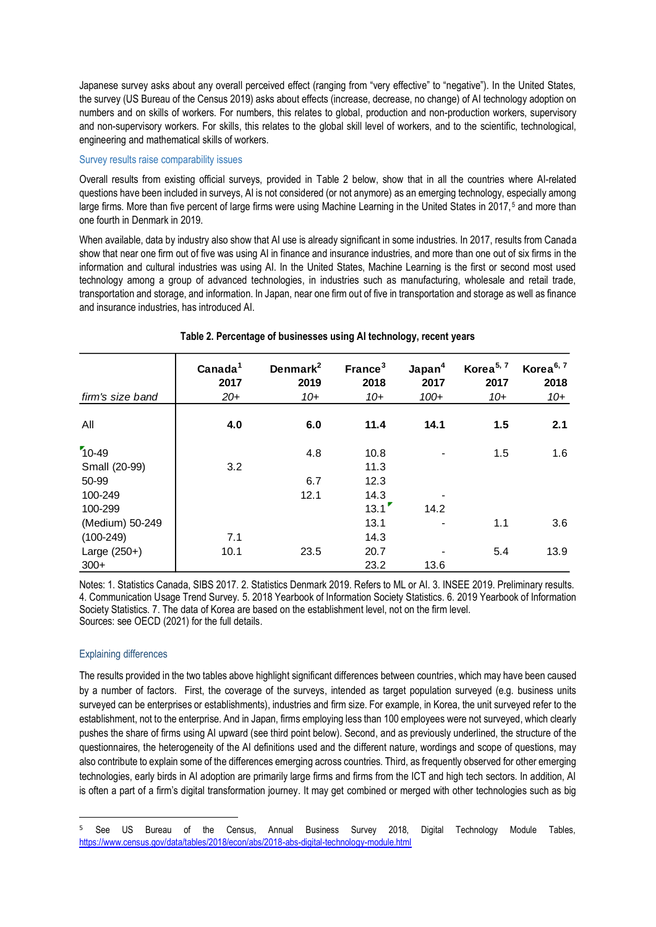Japanese survey asks about any overall perceived effect (ranging from "very effective" to "negative"). In the United States, the survey (US Bureau of the Census 2019) asks about effects (increase, decrease, no change) of AI technology adoption on numbers and on skills of workers. For numbers, this relates to global, production and non-production workers, supervisory and non-supervisory workers. For skills, this relates to the global skill level of workers, and to the scientific, technological, engineering and mathematical skills of workers.

#### Survey results raise comparability issues

Overall results from existing official surveys, provided in Table 2 below, show that in all the countries where AI-related questions have been included in surveys, AI is not considered (or not anymore) as an emerging technology, especially among large firms. More than five percent of large firms were using Machine Learning in the United States in 2017,<sup>5</sup> and more than one fourth in Denmark in 2019.

When available, data by industry also show that AI use is already significant in some industries. In 2017, results from Canada show that near one firm out of five was using AI in finance and insurance industries, and more than one out of six firms in the information and cultural industries was using AI. In the United States, Machine Learning is the first or second most used technology among a group of advanced technologies, in industries such as manufacturing, wholesale and retail trade, transportation and storage, and information. In Japan, near one firm out of five in transportation and storage as well as finance and insurance industries, has introduced AI.

|                  | Canada <sup>1</sup><br>2017 | Denmark <sup>2</sup><br>2019 | France <sup>3</sup><br>2018 | Japan <sup>4</sup><br>2017 | Korea <sup>5, 7</sup><br>2017 | Korea <sup>6, 7</sup><br>2018 |
|------------------|-----------------------------|------------------------------|-----------------------------|----------------------------|-------------------------------|-------------------------------|
| firm's size band | $20+$                       | $10+$                        | $10+$                       | $100+$                     | $10+$                         | $10+$                         |
| All              | 4.0                         | 6.0                          | 11.4                        | 14.1                       | 1.5                           | 2.1                           |
| $10-49$          |                             | 4.8                          | 10.8                        |                            | 1.5                           | 1.6                           |
| Small (20-99)    | 3.2                         |                              | 11.3                        |                            |                               |                               |
| 50-99            |                             | 6.7                          | 12.3                        |                            |                               |                               |
| 100-249          |                             | 12.1                         | 14.3                        |                            |                               |                               |
| 100-299          |                             |                              | 13.1                        | 14.2                       |                               |                               |
| (Medium) 50-249  |                             |                              | 13.1                        |                            | 1.1                           | 3.6                           |
| $(100-249)$      | 7.1                         |                              | 14.3                        |                            |                               |                               |
| Large $(250+)$   | 10.1                        | 23.5                         | 20.7                        |                            | 5.4                           | 13.9                          |
| $300+$           |                             |                              | 23.2                        | 13.6                       |                               |                               |

#### **Table 2. Percentage of businesses using AI technology, recent years**

Notes: 1. Statistics Canada, SIBS 2017. 2. Statistics Denmark 2019. Refers to ML or AI. 3. INSEE 2019. Preliminary results. 4. Communication Usage Trend Survey. 5. 2018 Yearbook of Information Society Statistics. 6. 2019 Yearbook of Information Society Statistics. 7. The data of Korea are based on the establishment level, not on the firm level. Sources: see OECD (2021) for the full details.

#### Explaining differences

The results provided in the two tables above highlight significant differences between countries, which may have been caused by a number of factors. First, the coverage of the surveys, intended as target population surveyed (e.g. business units surveyed can be enterprises or establishments), industries and firm size. For example, in Korea, the unit surveyed refer to the establishment, not to the enterprise. And in Japan, firms employing less than 100 employees were not surveyed, which clearly pushes the share of firms using AI upward (see third point below). Second, and as previously underlined, the structure of the questionnaires, the heterogeneity of the AI definitions used and the different nature, wordings and scope of questions, may also contribute to explain some of the differences emerging across countries. Third, as frequently observed for other emerging technologies, early birds in AI adoption are primarily large firms and firms from the ICT and high tech sectors. In addition, AI is often a part of a firm's digital transformation journey. It may get combined or merged with other technologies such as big

<sup>&</sup>lt;sup>5</sup> See US Bureau of the Census, Annual Business Survey 2018, Digital Technology Module Tables, <https://www.census.gov/data/tables/2018/econ/abs/2018-abs-digital-technology-module.html>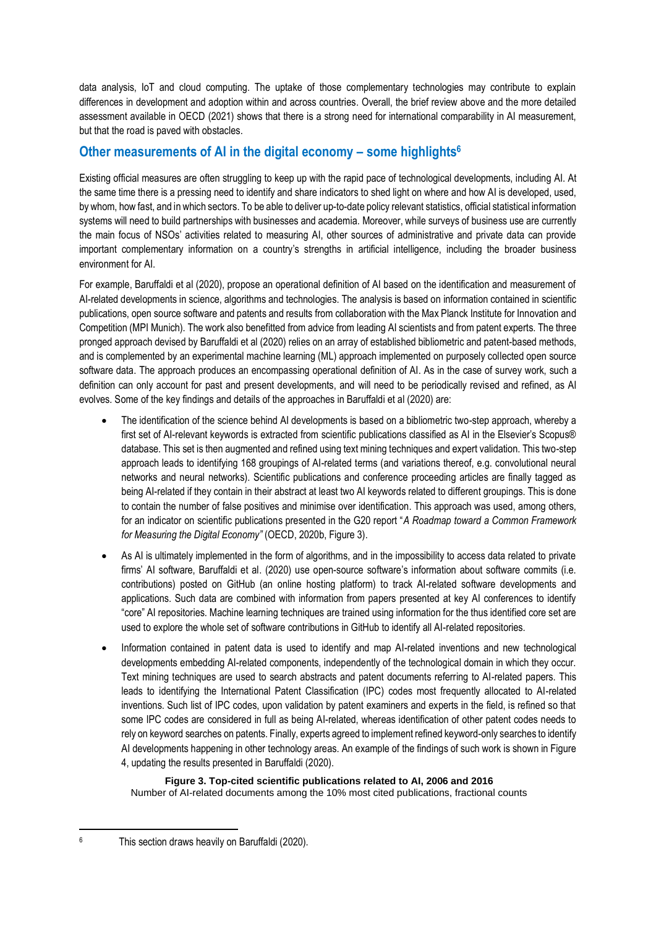data analysis, IoT and cloud computing. The uptake of those complementary technologies may contribute to explain differences in development and adoption within and across countries. Overall, the brief review above and the more detailed assessment available in OECD (2021) shows that there is a strong need for international comparability in AI measurement, but that the road is paved with obstacles.

## **Other measurements of AI in the digital economy – some highlights<sup>6</sup>**

Existing official measures are often struggling to keep up with the rapid pace of technological developments, including AI. At the same time there is a pressing need to identify and share indicators to shed light on where and how AI is developed, used, by whom, how fast, and in which sectors. To be able to deliver up-to-date policy relevant statistics, official statistical information systems will need to build partnerships with businesses and academia. Moreover, while surveys of business use are currently the main focus of NSOs' activities related to measuring AI, other sources of administrative and private data can provide important complementary information on a country's strengths in artificial intelligence, including the broader business environment for AI.

For example, Baruffaldi et al (2020), propose an operational definition of AI based on the identification and measurement of AI-related developments in science, algorithms and technologies. The analysis is based on information contained in scientific publications, open source software and patents and results from collaboration with the Max Planck Institute for Innovation and Competition (MPI Munich). The work also benefitted from advice from leading AI scientists and from patent experts. The three pronged approach devised by Baruffaldi et al (2020) relies on an array of established bibliometric and patent-based methods, and is complemented by an experimental machine learning (ML) approach implemented on purposely collected open source software data. The approach produces an encompassing operational definition of AI. As in the case of survey work, such a definition can only account for past and present developments, and will need to be periodically revised and refined, as AI evolves. Some of the key findings and details of the approaches in Baruffaldi et al (2020) are:

- The identification of the science behind AI developments is based on a bibliometric two-step approach, whereby a first set of AI-relevant keywords is extracted from scientific publications classified as AI in the Elsevier's Scopus® database. This set is then augmented and refined using text mining techniques and expert validation. This two-step approach leads to identifying 168 groupings of AI-related terms (and variations thereof, e.g. convolutional neural networks and neural networks). Scientific publications and conference proceeding articles are finally tagged as being AI-related if they contain in their abstract at least two AI keywords related to different groupings. This is done to contain the number of false positives and minimise over identification. This approach was used, among others, for an indicator on scientific publications presented in the G20 report "*A Roadmap toward a Common Framework for Measuring the Digital Economy"* (OECD, 2020b, Figure 3).
- As AI is ultimately implemented in the form of algorithms, and in the impossibility to access data related to private firms' AI software, Baruffaldi et al. (2020) use open-source software's information about software commits (i.e. contributions) posted on GitHub (an online hosting platform) to track AI-related software developments and applications. Such data are combined with information from papers presented at key AI conferences to identify "core" AI repositories. Machine learning techniques are trained using information for the thus identified core set are used to explore the whole set of software contributions in GitHub to identify all AI-related repositories.
- Information contained in patent data is used to identify and map AI-related inventions and new technological developments embedding AI-related components, independently of the technological domain in which they occur. Text mining techniques are used to search abstracts and patent documents referring to AI-related papers. This leads to identifying the International Patent Classification (IPC) codes most frequently allocated to AI-related inventions. Such list of IPC codes, upon validation by patent examiners and experts in the field, is refined so that some IPC codes are considered in full as being AI-related, whereas identification of other patent codes needs to rely on keyword searches on patents. Finally, experts agreed to implement refined keyword-only searches to identify AI developments happening in other technology areas. An example of the findings of such work is shown in Figure 4, updating the results presented in Baruffaldi (2020).

#### **Figure 3. Top-cited scientific publications related to AI, 2006 and 2016** Number of AI-related documents among the 10% most cited publications, fractional counts

<sup>6</sup> This section draws heavily on Baruffaldi (2020).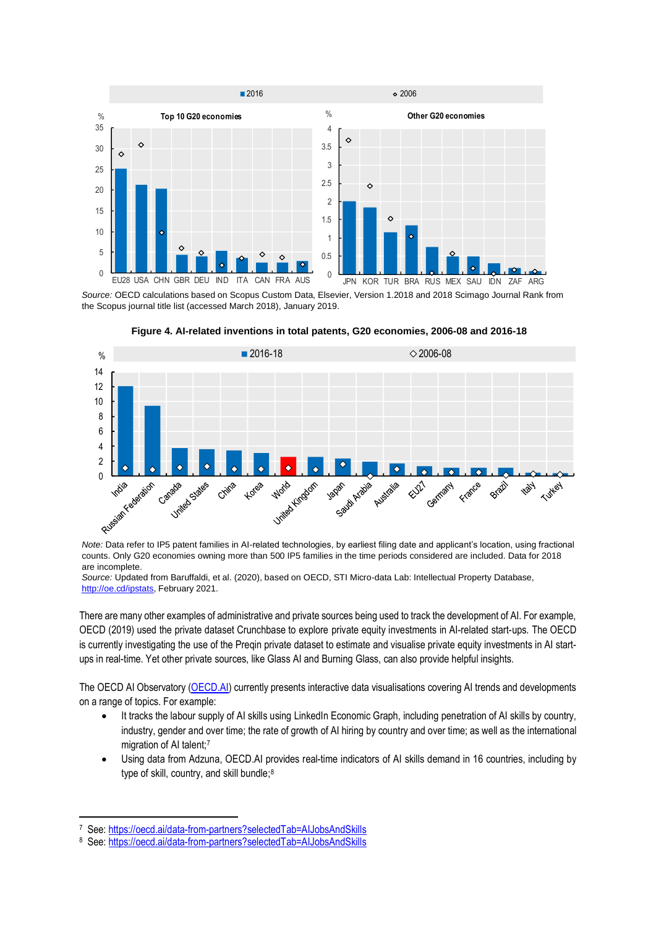

*Source:* OECD calculations based on Scopus Custom Data, Elsevier, Version 1.2018 and 2018 Scimago Journal Rank from the Scopus journal title list (accessed March 2018), January 2019.





*Note:* Data refer to IP5 patent families in AI-related technologies, by earliest filing date and applicant's location, using fractional counts. Only G20 economies owning more than 500 IP5 families in the time periods considered are included. Data for 2018 are incomplete.

*Source:* Updated from Baruffaldi, et al. (2020), based on OECD, STI Micro-data Lab: Intellectual Property Database, [http://oe.cd/ipstats,](http://oe.cd/ipstats) February 2021.

There are many other examples of administrative and private sources being used to track the development of AI. For example, OECD (2019) used the private dataset Crunchbase to explore private equity investments in AI-related start-ups. The OECD is currently investigating the use of the Preqin private dataset to estimate and visualise private equity investments in AI startups in real-time. Yet other private sources, like Glass AI and Burning Glass, can also provide helpful insights.

The OECD AI Observatory [\(OECD.AI\)](https://oecd.ai/) currently presents interactive data visualisations covering AI trends and developments on a range of topics. For example:

- It tracks the labour supply of AI skills using LinkedIn Economic Graph, including penetration of AI skills by country, industry, gender and over time; the rate of growth of AI hiring by country and over time; as well as the international migration of AI talent;<sup>7</sup>
- Using data from Adzuna, OECD.AI provides real-time indicators of AI skills demand in 16 countries, including by type of skill, country, and skill bundle;<sup>8</sup>

<sup>&</sup>lt;sup>7</sup> See: https://oecd.ai/data-from-partners?selectedTab=AIJobsAndSkills

<sup>8</sup> See: https://oecd.ai/data-from-partners?selectedTab=AIJobsAndSkills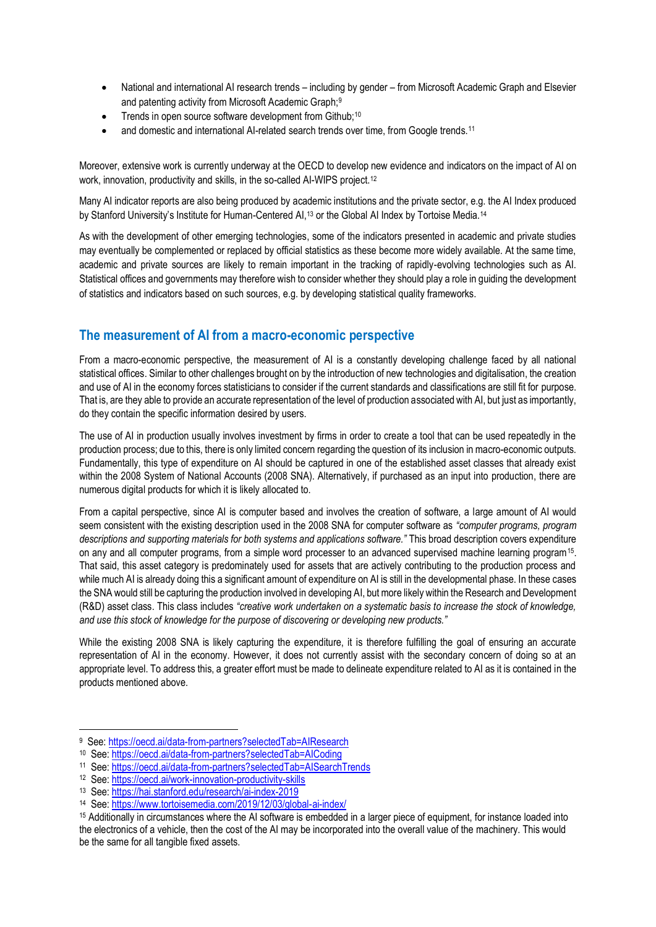- National and international AI research trends including by gender from Microsoft Academic Graph and Elsevier and patenting activity from Microsoft Academic Graph;<sup>9</sup>
- Trends in open source software development from Github;<sup>10</sup>
- and domestic and international AI-related search trends over time, from Google trends.<sup>11</sup>

Moreover, extensive work is currently underway at the OECD to develop new evidence and indicators on the impact of AI on work, innovation, productivity and skills, in the so-called AI-WIPS project.<sup>12</sup>

Many AI indicator reports are also being produced by academic institutions and the private sector, e.g. the AI Index produced by Stanford University's Institute for Human-Centered AI,<sup>13</sup> or the Global AI Index by Tortoise Media.<sup>14</sup>

As with the development of other emerging technologies, some of the indicators presented in academic and private studies may eventually be complemented or replaced by official statistics as these become more widely available. At the same time, academic and private sources are likely to remain important in the tracking of rapidly-evolving technologies such as AI. Statistical offices and governments may therefore wish to consider whether they should play a role in guiding the development of statistics and indicators based on such sources, e.g. by developing statistical quality frameworks.

### **The measurement of AI from a macro-economic perspective**

From a macro-economic perspective, the measurement of AI is a constantly developing challenge faced by all national statistical offices. Similar to other challenges brought on by the introduction of new technologies and digitalisation, the creation and use of AI in the economy forces statisticians to consider if the current standards and classifications are still fit for purpose. That is, are they able to provide an accurate representation of the level of production associated with AI, but just as importantly, do they contain the specific information desired by users.

The use of AI in production usually involves investment by firms in order to create a tool that can be used repeatedly in the production process; due to this, there is only limited concern regarding the question of its inclusion in macro-economic outputs. Fundamentally, this type of expenditure on AI should be captured in one of the established asset classes that already exist within the 2008 System of National Accounts (2008 SNA). Alternatively, if purchased as an input into production, there are numerous digital products for which it is likely allocated to.

From a capital perspective, since AI is computer based and involves the creation of software, a large amount of AI would seem consistent with the existing description used in the 2008 SNA for computer software as *"computer programs, program descriptions and supporting materials for both systems and applications software."* This broad description covers expenditure on any and all computer programs, from a simple word processer to an advanced supervised machine learning program<sup>15</sup>. That said, this asset category is predominately used for assets that are actively contributing to the production process and while much AI is already doing this a significant amount of expenditure on AI is still in the developmental phase. In these cases the SNA would still be capturing the production involved in developing AI, but more likely within the Research and Development (R&D) asset class. This class includes *"creative work undertaken on a systematic basis to increase the stock of knowledge, and use this stock of knowledge for the purpose of discovering or developing new products."*

While the existing 2008 SNA is likely capturing the expenditure, it is therefore fulfilling the goal of ensuring an accurate representation of AI in the economy. However, it does not currently assist with the secondary concern of doing so at an appropriate level. To address this, a greater effort must be made to delineate expenditure related to AI as it is contained in the products mentioned above.

<sup>&</sup>lt;sup>9</sup> See[: https://oecd.ai/data-from-partners?selectedTab=AIResearch](https://oecd.ai/data-from-partners?selectedTab=AIResearch)

<sup>&</sup>lt;sup>10</sup> See[: https://oecd.ai/data-from-partners?selectedTab=AICoding](https://oecd.ai/data-from-partners?selectedTab=AICoding)

<sup>11</sup> See[: https://oecd.ai/data-from-partners?selectedTab=AISearchTrends](https://oecd.ai/data-from-partners?selectedTab=AISearchTrends)

<sup>&</sup>lt;sup>12</sup> See[: https://oecd.ai/work-innovation-productivity-skills](https://oecd.ai/work-innovation-productivity-skills)

<sup>13</sup> See[: https://hai.stanford.edu/research/ai-index-2019](https://hai.stanford.edu/research/ai-index-2019)

<sup>14</sup> See[: https://www.tortoisemedia.com/2019/12/03/global-ai-index/](https://www.tortoisemedia.com/2019/12/03/global-ai-index/)

<sup>15</sup> Additionally in circumstances where the AI software is embedded in a larger piece of equipment, for instance loaded into the electronics of a vehicle, then the cost of the AI may be incorporated into the overall value of the machinery. This would be the same for all tangible fixed assets.